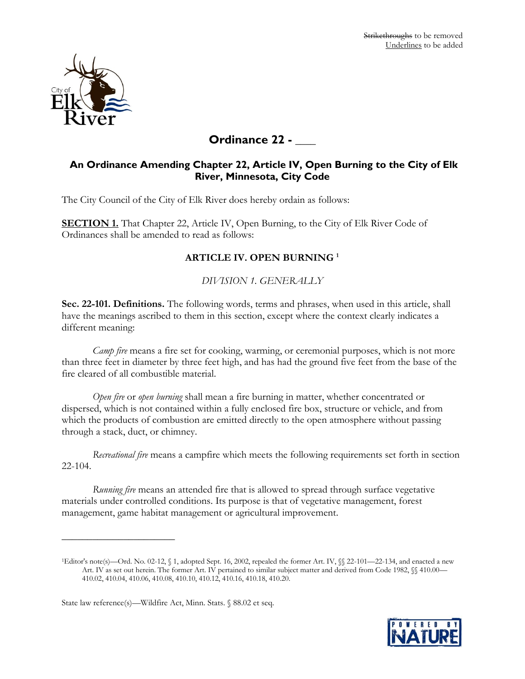

# **Ordinance 22 - \_\_\_\_**

# **An Ordinance Amending Chapter 22, Article IV, Open Burning to the City of Elk River, Minnesota, City Code**

The City Council of the City of Elk River does hereby ordain as follows:

**SECTION 1.** That Chapter 22, Article IV, Open Burning, to the City of Elk River Code of Ordinances shall be amended to read as follows:

## **ARTICLE IV. OPEN BURNING <sup>1</sup>**

*DIVISION 1. GENERALLY*

**Sec. 22-101. Definitions.** The following words, terms and phrases, when used in this article, shall have the meanings ascribed to them in this section, except where the context clearly indicates a different meaning:

*Camp fire* means a fire set for cooking, warming, or ceremonial purposes, which is not more than three feet in diameter by three feet high, and has had the ground five feet from the base of the fire cleared of all combustible material.

*Open fire* or *open burning* shall mean a fire burning in matter, whether concentrated or dispersed, which is not contained within a fully enclosed fire box, structure or vehicle, and from which the products of combustion are emitted directly to the open atmosphere without passing through a stack, duct, or chimney.

*Recreational fire* means a campfire which meets the following requirements set forth in section 22-104.

*Running fire* means an attended fire that is allowed to spread through surface vegetative materials under controlled conditions. Its purpose is that of vegetative management, forest management, game habitat management or agricultural improvement.

<sup>1</sup>Editor's note(s)—Ord. No. 02-12, § 1, adopted Sept. 16, 2002, repealed the former Art. IV, §§ 22-101—22-134, and enacted a new Art. IV as set out herein. The former Art. IV pertained to similar subject matter and derived from Code 1982, §§ 410.00— 410.02, 410.04, 410.06, 410.08, 410.10, 410.12, 410.16, 410.18, 410.20.



 $\overline{\phantom{a}}$  , where  $\overline{\phantom{a}}$  , where  $\overline{\phantom{a}}$ 

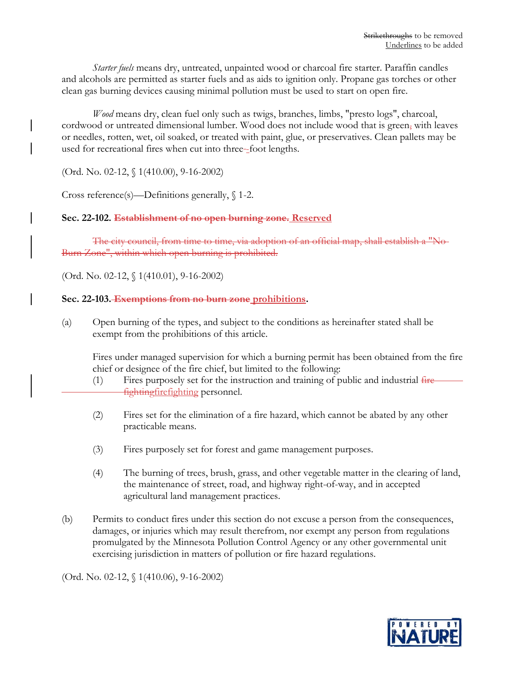*Starter fuels* means dry, untreated, unpainted wood or charcoal fire starter. Paraffin candles and alcohols are permitted as starter fuels and as aids to ignition only. Propane gas torches or other clean gas burning devices causing minimal pollution must be used to start on open fire.

*Wood* means dry, clean fuel only such as twigs, branches, limbs, "presto logs", charcoal, cordwood or untreated dimensional lumber. Wood does not include wood that is green, with leaves or needles, rotten, wet, oil soaked, or treated with paint, glue, or preservatives. Clean pallets may be used for recreational fires when cut into three-foot lengths.

(Ord. No. 02-12, § 1(410.00), 9-16-2002)

Cross reference(s)—Definitions generally, § 1-2.

## **Sec. 22-102. Establishment of no open burning zone. Reserved**

The city council, from time to time, via adoption of an official map, shall establish a "No-Burn Zone", within which open burning is prohibited.

(Ord. No. 02-12, § 1(410.01), 9-16-2002)

## **Sec. 22-103. Exemptions from no burn zone prohibitions.**

(a) Open burning of the types, and subject to the conditions as hereinafter stated shall be exempt from the prohibitions of this article.

Fires under managed supervision for which a burning permit has been obtained from the fire chief or designee of the fire chief, but limited to the following:

- $(1)$  Fires purposely set for the instruction and training of public and industrial fire fightingfirefighting personnel.
- (2) Fires set for the elimination of a fire hazard, which cannot be abated by any other practicable means.
- (3) Fires purposely set for forest and game management purposes.
- (4) The burning of trees, brush, grass, and other vegetable matter in the clearing of land, the maintenance of street, road, and highway right-of-way, and in accepted agricultural land management practices.
- (b) Permits to conduct fires under this section do not excuse a person from the consequences, damages, or injuries which may result therefrom, nor exempt any person from regulations promulgated by the Minnesota Pollution Control Agency or any other governmental unit exercising jurisdiction in matters of pollution or fire hazard regulations.

(Ord. No. 02-12, § 1(410.06), 9-16-2002)

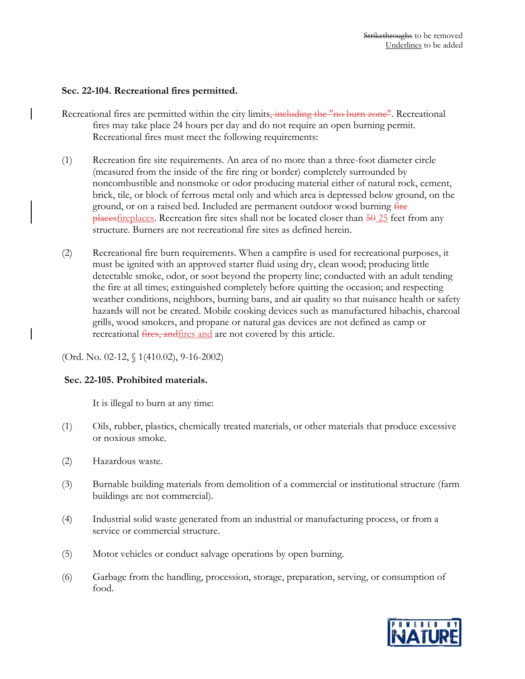#### **Sec. 22-104. Recreational fires permitted.**

- Recreational fires are permitted within the city limits<del>, including the "no burn zone"</del>. Recreational fires may take place 24 hours per day and do not require an open burning permit. Recreational fires must meet the following requirements:
- (1) Recreation fire site requirements. An area of no more than a three-foot diameter circle (measured from the inside of the fire ring or border) completely surrounded by noncombustible and nonsmoke or odor producing material either of natural rock, cement, brick, tile, or block of ferrous metal only and which area is depressed below ground, on the ground, or on a raised bed. Included are permanent outdoor wood burning fire  $\beta$  places fireplaces. Recreation fire sites shall not be located closer than  $\frac{50}{25}$  feet from any structure. Burners are not recreational fire sites as defined herein.
- (2) Recreational fire burn requirements. When a campfire is used for recreational purposes, it must be ignited with an approved starter fluid using dry, clean wood; producing little detectable smoke, odor, or soot beyond the property line; conducted with an adult tending the fire at all times; extinguished completely before quitting the occasion; and respecting weather conditions, neighbors, burning bans, and air quality so that nuisance health or safety hazards will not be created. Mobile cooking devices such as manufactured hibachis, charcoal grills, wood smokers, and propane or natural gas devices are not defined as camp or recreational *fires, and fires and are not covered by this article*.

(Ord. No. 02-12, § 1(410.02), 9-16-2002)

#### **Sec. 22-105. Prohibited materials.**

It is illegal to burn at any time:

- (1) Oils, rubber, plastics, chemically treated materials, or other materials that produce excessive or noxious smoke.
- (2) Hazardous waste.
- (3) Burnable building materials from demolition of a commercial or institutional structure (farm buildings are not commercial).
- (4) Industrial solid waste generated from an industrial or manufacturing process, or from a service or commercial structure.
- (5) Motor vehicles or conduct salvage operations by open burning.
- (6) Garbage from the handling, procession, storage, preparation, serving, or consumption of food.

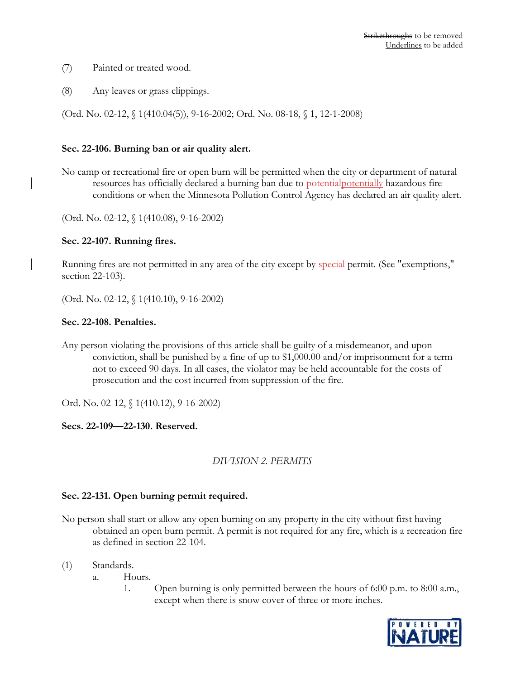- (7) Painted or treated wood.
- (8) Any leaves or grass clippings.

(Ord. No. 02-12, § 1(410.04(5)), 9-16-2002; Ord. No. 08-18, § 1, 12-1-2008)

#### **Sec. 22-106. Burning ban or air quality alert.**

No camp or recreational fire or open burn will be permitted when the city or department of natural resources has officially declared a burning ban due to potentialpotentially hazardous fire conditions or when the Minnesota Pollution Control Agency has declared an air quality alert.

(Ord. No. 02-12, § 1(410.08), 9-16-2002)

#### **Sec. 22-107. Running fires.**

Running fires are not permitted in any area of the city except by special permit. (See "exemptions," section 22-103).

(Ord. No. 02-12, § 1(410.10), 9-16-2002)

#### **Sec. 22-108. Penalties.**

Any person violating the provisions of this article shall be guilty of a misdemeanor, and upon conviction, shall be punished by a fine of up to \$1,000.00 and/or imprisonment for a term not to exceed 90 days. In all cases, the violator may be held accountable for the costs of prosecution and the cost incurred from suppression of the fire.

Ord. No. 02-12, § 1(410.12), 9-16-2002)

**Secs. 22-109—22-130. Reserved.**

#### *DIVISION 2. PERMITS*

#### **Sec. 22-131. Open burning permit required.**

- No person shall start or allow any open burning on any property in the city without first having obtained an open burn permit. A permit is not required for any fire, which is a recreation fire as defined in section 22-104.
- (1) Standards.
	- a. Hours.
		- 1. Open burning is only permitted between the hours of 6:00 p.m. to 8:00 a.m., except when there is snow cover of three or more inches.

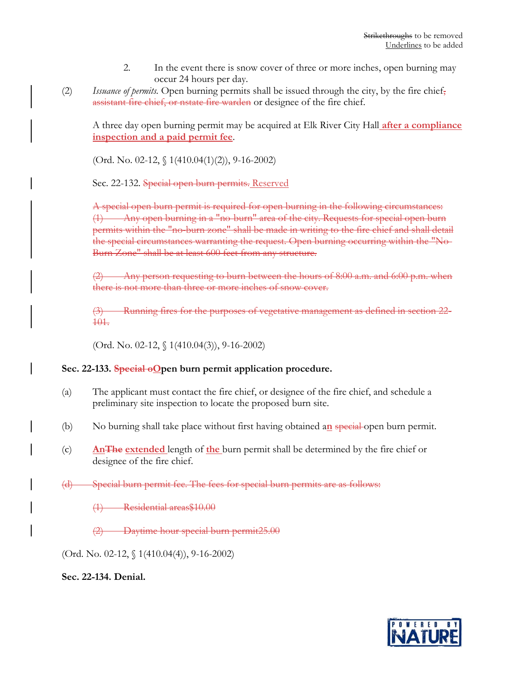- 2. In the event there is snow cover of three or more inches, open burning may occur 24 hours per day.
- (2) *Issuance of permits.* Open burning permits shall be issued through the city, by the fire chief, assistant fire chief, or nstate fire warden or designee of the fire chief.

A three day open burning permit may be acquired at Elk River City Hall **after a compliance inspection and a paid permit fee**.

(Ord. No. 02-12, § 1(410.04(1)(2)), 9-16-2002)

Sec. 22-132. Special open burn permits. Reserved

A special open burn permit is required for open burning in the following circumstances: (1) Any open burning in a "no-burn" area of the city. Requests for special open burn permits within the "no-burn zone" shall be made in writing to the fire chief and shall detail the special circumstances warranting the request. Open burning occurring within the "No-Burn Zone" shall be at least 600 feet from any structure.

Any person requesting to burn between the hours of 8:00 a.m. and 6:00 p.m. when there is not more than three or more inches of snow cover.

(3) Running fires for the purposes of vegetative management as defined in section 22- 101.

(Ord. No. 02-12, § 1(410.04(3)), 9-16-2002)

## **Sec. 22-133. Special oOpen burn permit application procedure.**

- (a) The applicant must contact the fire chief, or designee of the fire chief, and schedule a preliminary site inspection to locate the proposed burn site.
- (b) No burning shall take place without first having obtained a**n** special open burn permit.
- (c) **AnThe extended** length of **the** burn permit shall be determined by the fire chief or designee of the fire chief.
- (d) Special burn permit fee. The fees for special burn permits are as follows:
	- (1) Residential areas\$10.00
	- Daytime hour special burn permit25.00

(Ord. No. 02-12, § 1(410.04(4)), 9-16-2002)

**Sec. 22-134. Denial.**